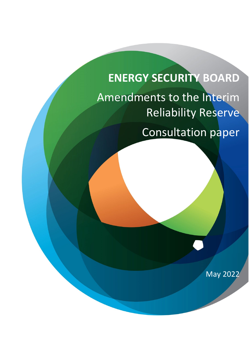# **ENERGY SECURITY BOARD** Amendments to the Interim Reliability Reserve Consultation paper

May 2022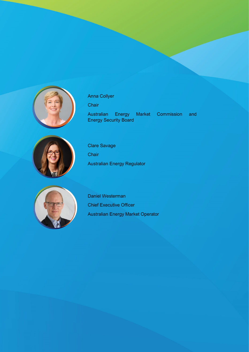

# Anna Collyer

**Chair** 

Australian Energy Market Commission and Energy Security Board



Clare Savage **Chair** Australian Energy Regulator



Daniel Westerman Chief Executive Officer Australian Energy Market Operator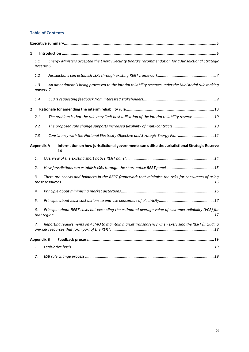#### **Table of Contents**

| 1            |                   |                                                                                                        |  |  |
|--------------|-------------------|--------------------------------------------------------------------------------------------------------|--|--|
|              | 1.1<br>Reserve 6  | Energy Ministers accepted the Energy Security Board's recommendation for a Jurisdictional Strategic    |  |  |
|              | 1.2               |                                                                                                        |  |  |
|              | 1.3<br>powers 7   | An amendment is being processed to the interim reliability reserves under the Ministerial rule making  |  |  |
|              | 1.4               |                                                                                                        |  |  |
| $\mathbf{2}$ |                   |                                                                                                        |  |  |
|              | 2.1               | The problem is that the rule may limit best utilisation of the interim reliability reserve  10         |  |  |
|              | 2.2               |                                                                                                        |  |  |
|              | 2.3               | Consistency with the National Electricity Objective and Strategic Energy Plan  12                      |  |  |
|              | <b>Appendix A</b> | Information on how jurisdictional governments can utilise the Jurisdictional Strategic Reserve<br>14   |  |  |
|              | 1.                |                                                                                                        |  |  |
|              | 2.                |                                                                                                        |  |  |
|              | 3.                | There are checks and balances in the RERT framework that minimise the risks for consumers of using     |  |  |
|              | 4.                |                                                                                                        |  |  |
|              | 5.                |                                                                                                        |  |  |
|              | 6.                | Principle about RERT costs not exceeding the estimated average value of customer reliability (VCR) for |  |  |
|              | 7.                | Reporting requirements on AEMO to maintain market transparency when exercising the RERT (including     |  |  |
|              | <b>Appendix B</b> |                                                                                                        |  |  |
|              | 1.                |                                                                                                        |  |  |
|              | 2.                |                                                                                                        |  |  |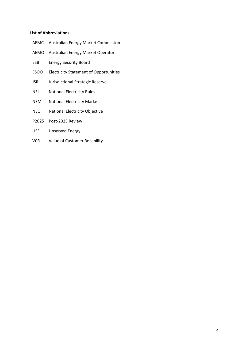#### **List of Abbreviations**

- AEMC Australian Energy Market Commission
- AEMO Australian Energy Market Operator
- ESB Energy Security Board
- ESOO Electricity Statement of Opportunities
- JSR Jurisdictional Strategic Reserve
- NEL National Electricity Rules
- NEM National Electricity Market
- NEO National Electricity Objective
- P2025 Post-2025 Review
- USE Unserved Energy
- VCR Value of Customer Reliability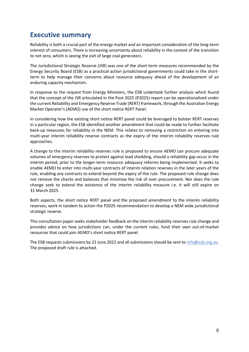# <span id="page-4-0"></span>**Executive summary**

Reliability is both a crucial part of the energy market and an important consideration of the long-term interest of consumers. There is increasing uncertainty about reliability in the context of the transition to net zero, which is seeing the exit of large coal generators.

The Jurisdictional Strategic Reserve (JSR) was one of the short-term measures recommended by the Energy Security Board (ESB) as a practical action jurisdictional governments could take in the shortterm to help manage their concerns about resource adequacy ahead of the development of an enduring capacity mechanism.

In response to the request from Energy Ministers, the ESB undertook further analysis which found that the concept of the JSR articulated in the Post-2025 (P2025) report can be operationalised under the current Reliability and Emergency Reserve Trade (RERT) framework, through the Australian Energy Market Operator's (AEMO) use of the short notice RERT Panel.

In considering how the existing short notice RERT panel could be leveraged to bolster RERT reserves in a particular region, the ESB identified another amendment that could be made to further facilitate back-up measures for reliability in the NEM. This relates to removing a restriction on entering into multi-year interim reliability reserve contracts as the expiry of the interim reliability reserves rule approaches.

A change to the interim reliability reserves rule is proposed to ensure AEMO can procure adequate volumes of emergency reserves to protect against load shedding, should a reliability gap occur in the interim period, prior to the longer-term resource adequacy reforms being implemented. It seeks to enable AEMO to enter into multi-year contracts of interim relation reserves in the later years of the rule, enabling any contracts to extend beyond the expiry of the rule. The proposed rule change does not remove the checks and balances that minimise the risk of over procurement. Nor does the rule change seek to extend the existence of the interim reliability measure i.e. it will still expire on 31 March 2025.

Both aspects, the short notice RERT panel and the proposed amendment to the interim reliability reserves, work in tandem to action the P2025 recommendation to develop a NEM wide jurisdictional strategic reserve.

This consultation paper seeks stakeholder feedback on the interim reliability reserves rule change and provides advice on how jurisdictions can, under the current rules, fund their own out-of-market resources that could join AEMO's short notice RERT panel.

The ESB requests submissions by 22 June 2022 and all submissions should be sent t[o info@esb.org.au.](mailto:info@esb.org.au) The proposed draft rule is attached.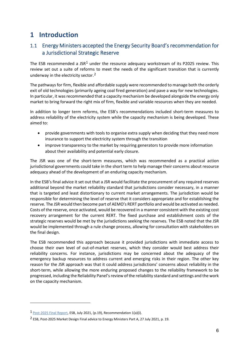# <span id="page-5-0"></span>**1 Introduction**

# <span id="page-5-1"></span>1.1 Energy Ministers accepted the Energy Security Board's recommendation for a Jurisdictional Strategic Reserve

The ESB recommended a JSR<sup>[1](#page-5-2)</sup> under the resource adequacy workstream of its P2025 review. This review set out a suite of reforms to meet the needs of the significant transition that is currently underway in the electricity sector.<sup>[2](#page-5-3)</sup>

The pathways for firm, flexible and affordable supply were recommended to manage both the orderly exit of old technologies (primarily ageing coal fired generation) and pave a way for new technologies. In particular, it was recommended that a capacity mechanism be developed alongside the energy only market to bring forward the right mix of firm, flexible and variable resources when they are needed.

In addition to longer term reforms, the ESB's recommendations included short-term measures to address reliability of the electricity system while the capacity mechanism is being developed. These aimed to:

- provide governments with tools to organise extra supply when deciding that they need more insurance to support the electricity system through the transition
- improve transparency to the market by requiring generators to provide more information about their availability and potential early closure.

The JSR was one of the short-term measures, which was recommended as a practical action jurisdictional governments could take in the short term to help manage their concerns about resource adequacy ahead of the development of an enduring capacity mechanism.

In the ESB's final advice it set out that a JSR would facilitate the procurement of any required reserves additional beyond the market reliability standard that jurisdictions consider necessary, in a manner that is targeted and least distortionary to current market arrangements. The jurisdiction would be responsible for determining the level of reserve that it considers appropriate and for establishing the reserve. The JSR would then become part of AEMO's RERT portfolio and would be activated as needed. Costs of the reserve, once activated, would be recovered in a manner consistent with the existing cost recovery arrangement for the current RERT. The fixed purchase and establishment costs of the strategic reserves would be met by the jurisdictions seeking the reserves. The ESB noted that the JSR would be implemented through a rule change process, allowing for consultation with stakeholders on the final design.

The ESB recommended this approach because it provided jurisdictions with immediate access to choose their own level of out-of-market reserves, which they consider would best address their reliability concerns. For instance, jurisdictions may be concerned about the adequacy of the emergency backup resources to address current and emerging risks in their region. The other key reason for the JSR approach was that it could address jurisdictions' concerns about reliability in the short-term, while allowing the more enduring proposed changes to the reliability framework to be progressed, including the Reliability Panel's review of the reliability standard and settings and the work on the capacity mechanism.

<span id="page-5-2"></span><sup>1</sup> [Post-2025 Final Report,](https://www.datocms-assets.com/32572/1629944958-post-2025-market-design-final-advice-to-energy-ministers-part-a.pdf) ESB, July 2021, (p.19), Recommendation 1(a)(i).

<span id="page-5-3"></span><sup>2</sup> ESB, Post-2025 Market Design Final advice to Energy Ministers Part A, 27 July 2021, p. 19.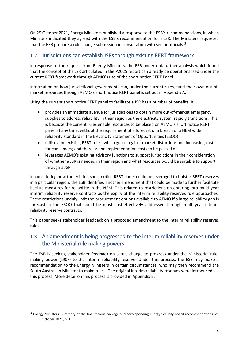On 29 October 2021, Energy Ministers published a response to the ESB's recommendations, in which Ministers indicated they agreed with the ESB's recommendation for a JSR. The Ministers requested that the ESB prepare a rule change submission in consultation with senior officials.<sup>[3](#page-6-2)</sup>

### <span id="page-6-0"></span>1.2 Jurisdictions can establish JSRs through existing RERT framework

In response to the request from Energy Ministers, the ESB undertook further analysis which found that the concept of the JSR articulated in the P2025 report can already be operationalised under the current RERT framework through AEMO's use of the short notice RERT Panel.

Information on how jurisdictional governments can, under the current rules, fund their own out-ofmarket resources through AEMO's short notice RERT panel is set out in [Appendix A.](#page-13-0)

Using the current short notice RERT panel to facilitate a JSR has a number of benefits. It:

- provides an immediate avenue for jurisdictions to obtain more out-of-market emergency supplies to address reliability in their region as the electricity system rapidly transitions. This is because the current rules enable resources to be placed on AEMO's short notice RERT panel at any time, without the requirement of a forecast of a breach of a NEM wide reliability standard in the Electricity Statement of Opportunities (ESOO)
- utilises the existing RERT rules, which guard against market distortions and increasing costs for consumers; and there are no implementation costs to be passed on
- leverages AEMO's existing advisory functions to support jurisdictions in their consideration of whether a JSR is needed in their region and what resources would be suitable to support through a JSR.

In considering how the existing short notice RERT panel could be leveraged to bolster RERT reserves in a particular region, the ESB identified another amendment that could be made to further facilitate backup measures for reliability in the NEM. This related to restrictions on entering into multi-year interim reliability reserve contracts as the expiry of the interim reliability reserves rule approaches. These restrictions unduly limit the procurement options available to AEMO if a large reliability gap is forecast in the ESOO that could be most cost-effectively addressed through multi-year interim reliability reserve contracts.

This paper seeks stakeholder feedback on a proposed amendment to the interim reliability reserves rules.

# <span id="page-6-1"></span>1.3 An amendment is being progressed to the interim reliability reserves under the Ministerial rule making powers

The ESB is seeking stakeholder feedback on a rule change to progress under the Ministerial rulemaking power (s90F) to the interim reliability reserve. Under this process, the ESB may make a recommendation to the Energy Ministers in certain circumstances, who may then recommend the South Australian Minister to make rules. The original interim reliability reserves were introduced via this process. More detail on this process is provided in [Appendix B.](#page-18-0)

<span id="page-6-2"></span><sup>3</sup> Energy Ministers, Summary of the final reform package and corresponding Energy Security Board recommendations, 29 October 2021, p. 1.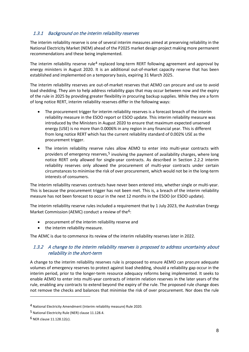### 1.3.1 Background on the interim reliability reserves

The interim reliability reserve is one of several interim measures aimed at preserving reliability in the National Electricity Market (NEM) ahead of the P2025 market design project making more permanent recommendations and these being implemented.

The interim reliability reserve rule<sup>[4](#page-7-0)</sup> replaced long-term RERT following agreement and approval by energy ministers in August 2020. It is an additional out-of-market capacity reserve that has been established and implemented on a temporary basis, expiring 31 March 2025.

The interim reliability reserves are out-of-market reserves that AEMO can procure and use to avoid load shedding. They aim to help address reliability gaps that may occur between now and the expiry of the rule in 2025 by providing greater flexibility in procuring backup supplies. While they are a form of long notice RERT, interim reliability reserves differ in the following ways:

- The procurement trigger for interim reliability reserves is a forecast breach of the interim reliability measure in the ESOO report or ESOO update. This interim reliability measure was introduced by the Ministers in August 2020 to ensure that maximum expected unserved energy (USE) is no more than 0.0006% in any region in any financial year. This is different from long notice RERT which has the current reliability standard of 0.002% USE as the procurement trigger.
- The interim reliability reserve rules allow AEMO to enter into multi-year contracts with providers of emergency reserves,<sup>[5](#page-7-1)</sup> involving the payment of availability charges, where long notice RERT only allowed for single-year contracts. As described in Section 2.2.2 interim reliability reserves only allowed the procurement of multi-year contracts under certain circumstances to minimise the risk of over procurement, which would not be in the long-term interests of consumers.

The interim reliability reserves contracts have never been entered into, whether single or multi-year. This is because the procurement trigger has not been met. This is, a breach of the interim reliability measure has not been forecast to occur in the next 12 months in the ESOO (or ESOO update).

The interim reliability reserve rules included a requirement that by 1 July 2023, the Australian Energy Market Commission (AEMC) conduct a review of the<sup>[6](#page-7-2)</sup>:

- procurement of the interim reliability reserve and
- the interim reliability measure.

The AEMC is due to commence its review of the interim reliability reserves later in 2022.

### 1.3.2 A change to the interim reliability reserves is proposed to address uncertainty about reliability in the short-term

A change to the interim reliability reserves rule is proposed to ensure AEMO can procure adequate volumes of emergency reserves to protect against load shedding, should a reliability gap occur in the interim period, prior to the longer-term resource adequacy reforms being implemented. It seeks to enable AEMO to enter into multi-year contracts of interim relation reserves in the later years of the rule, enabling any contracts to extend beyond the expiry of the rule. The proposed rule change does not remove the checks and balances that minimise the risk of over procurement. Nor does the rule

<span id="page-7-0"></span><sup>4</sup> National Electricity Amendment (Interim reliability measure) Rule 2020.

<span id="page-7-1"></span><sup>5</sup> National Electricity Rule (NER) clause 11.128.4.

<span id="page-7-2"></span><sup>6</sup> NER clause 11.128.12(c).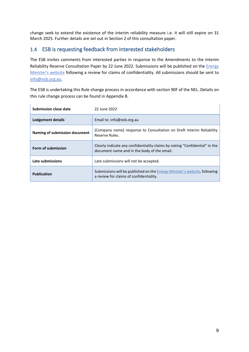change seek to extend the existence of the interim reliability measure i.e. it will still expire on 31 March 2025. Further details are set out in Section 2 of this consultation paper.

### <span id="page-8-0"></span>1.4 ESB is requesting feedback from interested stakeholders

The ESB invites comments from interested parties in response to the Amendments to the Interim Reliability Reserve Consultation Paper by 22 June 2022. Submissions will be published on the *Energy* [Minister's website](https://www.energy.gov.au/government-priorities/energy-ministers) following a review for claims of confidentiality. All submissions should be sent to [info@esb.org.au.](mailto:info@esb.org.au)

The ESB is undertaking this Rule change process in accordance with section 90F of the NEL. Details on this rule change process can be found in Appendix B.

| Submission close date         | 22 June 2022                                                                                                                 |
|-------------------------------|------------------------------------------------------------------------------------------------------------------------------|
| Lodgement details             | Email to: info@esb.org.au                                                                                                    |
| Naming of submission document | [Company name] response to Consultation on Draft Interim Reliability<br>Reserve Rules.                                       |
| Form of submission            | Clearly indicate any confidentiality claims by noting "Confidential" in the<br>document name and in the body of the email.   |
| Late submissions              | Late submissions will not be accepted.                                                                                       |
| <b>Publication</b>            | Submissions will be published on the <b>Energy Minister's website</b> , following<br>a review for claims of confidentiality. |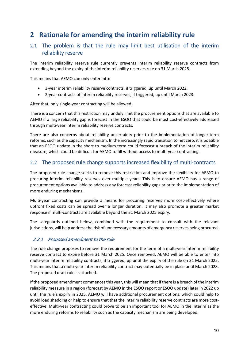# <span id="page-9-0"></span>**2 Rationale for amending the interim reliability rule**

### <span id="page-9-1"></span>2.1 The problem is that the rule may limit best utilisation of the interim reliability reserve

The interim reliability reserve rule currently prevents interim reliability reserve contracts from extending beyond the expiry of the interim reliability reserves rule on 31 March 2025.

This means that AEMO can only enter into:

- 3-year interim reliability reserve contracts, if triggered, up until March 2022.
- 2-year contracts of interim reliability reserves, if triggered, up until March 2023.

After that, only single-year contracting will be allowed.

There is a concern that this restriction may unduly limit the procurement options that are available to AEMO if a large reliability gap is forecast in the ESOO that could be most cost-effectively addressed through multi-year interim reliability reserve contracts.

There are also concerns about reliability uncertainty prior to the implementation of longer-term reforms, such as the capacity mechanism. In the increasingly rapid transition to net zero, it is possible that an ESOO update in the short to medium term could forecast a breach of the interim reliability measure, which could be difficult for AEMO to fill without access to multi-year contracting.

### <span id="page-9-2"></span>2.2 The proposed rule change supports increased flexibility of multi-contracts

The proposed rule change seeks to remove this restriction and improve the flexibility for AEMO to procuring interim reliability reserves over multiple years. This is to ensure AEMO has a range of procurement options available to address any forecast reliability gaps prior to the implementation of more enduring mechanisms.

Multi-year contracting can provide a means for procuring reserves more cost-effectively where upfront fixed costs can be spread over a longer duration. It may also promote a greater market response if multi-contracts are available beyond the 31 March 2025 expiry.

The safeguards outlined below, combined with the requirement to consult with the relevant jurisdictions, will help address the risk of unnecessary amounts of emergency reserves being procured.

### 2.2.1 Proposed amendment to the rule

The rule change proposes to remove the requirement for the term of a multi-year interim reliability reserve contract to expire before 31 March 2025. Once removed, AEMO will be able to enter into multi-year interim reliability contracts, if triggered, up until the expiry of the rule on 31 March 2025. This means that a multi-year interim reliability contract may potentially be in place until March 2028. The proposed draft rule is attached.

If the proposed amendment commences this year, this will mean that if there is a breach of the interim reliability measure in a region (forecast by AEMO in the ESOO report or ESOO update) later in 2022 up until the rule's expiry in 2025, AEMO will have additional procurement options, which could help to avoid load shedding or help to ensure that that the interim reliability reserve contracts are more costeffective. Multi-year contracting could prove to be an important tool for AEMO in the interim as the more enduring reforms to reliability such as the capacity mechanism are being developed.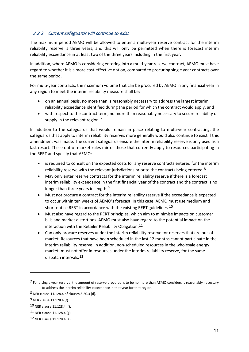### 2.2.2 Current safeguards will continue to exist

The maximum period AEMO will be allowed to enter a multi-year reserve contract for the interim reliability reserve is three years, and this will only be permitted when there is forecast interim reliability exceedance in at least two of the three years including in the first year.

In addition, where AEMO is considering entering into a multi-year reserve contract, AEMO must have regard to whether it is a more cost-effective option, compared to procuring single year contracts over the same period.

For multi-year contracts, the maximum volume that can be procured by AEMO in any financial year in any region to meet the interim reliability measure shall be:

- on an annual basis, no more than is reasonably necessary to address the largest interim reliability exceedance identified during the period for which the contract would apply, and
- with respect to the contract term, no more than reasonably necessary to secure reliability of supply in the relevant region.<sup>[7](#page-10-0)</sup>

In addition to the safeguards that would remain in place relating to multi-year contracting, the safeguards that apply to interim reliability reserves more generally would also continue to exist if this amendment was made. The current safeguards ensure the interim reliability reserve is only used as a last resort. These out-of-market rules mirror those that currently apply to resources participating in the RERT and specify that AEMO:

- is required to consult on the expected costs for any reserve contracts entered for the interim reliability reserve with the relevant jurisdictions prior to the contracts being entered.<sup>[8](#page-10-1)</sup>
- May only enter reserve contracts for the interim reliability reserve if there is a forecast interim reliability exceedance in the first financial year of the contract and the contract is no longer than three years in length.<sup>[9](#page-10-2)</sup>
- Must not procure a contract for the interim reliability reserve if the exceedance is expected to occur within ten weeks of AEMO's forecast. In this case, AEMO must use medium and short notice RERT in accordance with the existing RERT guidelines.<sup>[10](#page-10-3)</sup>
- Must also have regard to the RERT principles, which aim to minimise impacts on customer bills and market distortions. AEMO must also have regard to the potential impact on the interaction with the Retailer Reliability Obligation.<sup>11</sup>
- Can only procure reserves under the interim reliability reserve for reserves that are out-ofmarket. Resources that have been scheduled in the last 12 months cannot participate in the interim reliability reserve. In addition, non-scheduled resources in the wholesale energy market, must not offer in resources under the interim reliability reserve, for the same dispatch intervals.[12](#page-10-5)

<span id="page-10-0"></span><sup>7</sup> For a single year reserve, the amount of reserve procured is to be no more than AEMO considers is reasonably necessary to address the interim reliability exceedance in that year for that region.

<span id="page-10-1"></span><sup>8</sup> NER clause 11.128.4 of clauses 3.20.3 (d).

<span id="page-10-2"></span><sup>9</sup> NER clause 11.128.4 (f).

<span id="page-10-3"></span><sup>10</sup> NER clause 11.128.4 (f).

<span id="page-10-4"></span> $11$  NER clause 11.128.4 (g).

<span id="page-10-5"></span><sup>12</sup> NER clause 11.128.4 (g).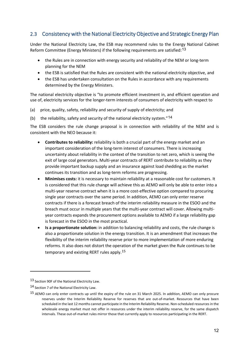# <span id="page-11-0"></span>2.3 Consistency with the National Electricity Objective and Strategic Energy Plan

Under the National Electricity Law, the ESB may recommend rules to the Energy National Cabinet Reform Committee (Energy Ministers) if the following requirements are satisfied:[13](#page-11-1)

- the Rules are in connection with energy security and reliability of the NEM or long-term planning for the NEM
- the ESB is satisfied that the Rules are consistent with the national electricity objective, and
- the ESB has undertaken consultation on the Rules in accordance with any requirements determined by the Energy Ministers.

The national electricity objective is "to promote efficient investment in, and efficient operation and use of, electricity services for the longer-term interests of consumers of electricity with respect to

(a) price, quality, safety, reliability and security of supply of electricity; and

(b) the reliability, safety and security of the national electricity system."[14](#page-11-2)

The ESB considers the rule change proposal is in connection with reliability of the NEM and is consistent with the NEO because it:

- **Contributes to reliability:** reliability is both a crucial part of the energy market and an important consideration of the long-term interest of consumers. There is increasing uncertainty about reliability in the context of the transition to net zero, which is seeing the exit of large coal generators. Multi-year contracts of RERT contribute to reliability as they provide important backup supply and an insurance against load shedding as the market continues its transition and as long-term reforms are progressing.
- **Minimises costs:** it is necessary to maintain reliability at a reasonable cost for customers. It is considered that this rule change will achieve this as AEMO will only be able to enter into a multi-year reserve contract when it is a more cost-effective option compared to procuring single year contracts over the same period. In addition, AEMO can only enter reserve contracts if there is a forecast breach of the interim reliability measure in the ESOO and the breach must occur in multiple years that the multi-year contract will cover. Allowing multiyear contracts expands the procurement options available to AEMO if a large reliability gap is forecast in the ESOO in the most practical.
- **Is a proportionate solution:** in addition to balancing reliability and costs, the rule change is also a proportionate solution in the energy transition. It is an amendment that increases the flexibility of the interim reliability reserve prior to more implementation of more enduring reforms. It also does not distort the operation of the market given the Rule continues to be temporary and existing RERT rules apply.[15](#page-11-3)

<span id="page-11-1"></span><sup>13</sup> Section 90F of the National Electricity Law.

<span id="page-11-2"></span><sup>14</sup> Section 7 of the National Electricity Law.

<span id="page-11-3"></span><sup>15</sup> AEMO can only enter contracts up until the expiry of the rule on 31 March 2025. In addition, AEMO can only procure reserves under the Interim Reliability Reserve for reserves that are out-of-market. Resources that have been scheduled in the last 12 months cannot participate in the Interim Reliability Reserve. Non-scheduled resources in the wholesale energy market must not offer in resources under the interim reliability reserve, for the same dispatch intervals. These out-of-market rules mirror those that currently apply to resources participating in the RERT.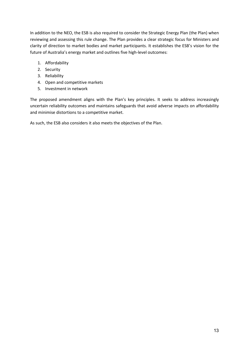In addition to the NEO, the ESB is also required to consider the Strategic Energy Plan (the Plan) when reviewing and assessing this rule change. The Plan provides a clear strategic focus for Ministers and clarity of direction to market bodies and market participants. It establishes the ESB's vision for the future of Australia's energy market and outlines five high-level outcomes:

- 1. Affordability
- 2. Security
- 3. Reliability
- 4. Open and competitive markets
- 5. Investment in network

The proposed amendment aligns with the Plan's key principles. It seeks to address increasingly uncertain reliability outcomes and maintains safeguards that avoid adverse impacts on affordability and minimise distortions to a competitive market.

As such, the ESB also considers it also meets the objectives of the Plan.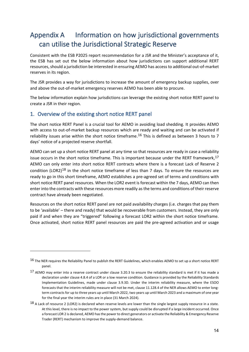# <span id="page-13-0"></span>Appendix A Information on how jurisdictional governments can utilise the Jurisdictional Strategic Reserve

Consistent with the ESB P2025 report recommendation for a JSR and the Minister's acceptance of it, the ESB has set out the below information about how jurisdictions can support additional RERT resources, should a jurisdiction be interested in ensuring AEMO has access to additional out-of-market reserves in its region.

The JSR provides a way for jurisdictions to increase the amount of emergency backup supplies, over and above the out-of-market emergency reserves AEMO has been able to procure.

The below information explain how jurisdictions can leverage the existing short notice RERT panel to create a JSR in their region.

### <span id="page-13-1"></span>1. Overview of the existing short notice RERT panel

The short notice RERT Panel is a crucial tool for AEMO in avoiding load shedding. It provides AEMO with access to out-of-market backup resources which are ready and waiting and can be activated if reliability issues arise within the short notice timeframe.<sup>[16](#page-13-2)</sup> This is defined as between 3 hours to 7 days' notice of a projected reserve shortfall.

AEMO can set up a short notice RERT panel at any time so that resources are ready in case a reliability issue occurs in the short notice timeframe. This is important because under the RERT framework,  $17$ AEMO can only enter into short notice RERT contracts where there is a forecast Lack of Reserve 2 condition (LOR2)<sup>[18](#page-13-4)</sup> in the short notice timeframe of less than 7 days. To ensure the resources are ready to go in this short timeframe, AEMO establishes a pre-agreed set of terms and conditions with short notice RERT panel resources. When the LOR2 event is forecast within the 7 days, AEMO can then enter into the contracts with these resources more readily as the terms and conditions of their reserve contract have already been negotiated.

Resources on the short notice RERT panel are not paid availability charges (i.e. charges that pay them to be 'available' – there and ready) that would be recoverable from customers. Instead, they are only paid if and when they are "triggered" following a forecast LOR2 within the short notice timeframe. Once activated, short notice RERT panel resources are paid the pre-agreed activation and or usage

<span id="page-13-2"></span><sup>16</sup> The NER requires the Reliability Panel to publish the RERT Guidelines, which enables AEMO to set up a short notice RERT panel.

<span id="page-13-3"></span><sup>17</sup> AEMO may enter into a reserve contract under clause 3.20.3 to ensure the reliability standard is met if it has made a declaration under clause 4.8.4 of a LOR or a low reserve condition. Guidance is provided by the Reliability Standards Implementation Guidelines, made under clause 3.9.3D. Under the interim reliability measure, where the ESOO forecasts that the interim reliability measure will not be met, clause 11.128.4 of the NER allows AEMO to enter longterm contracts for up to three years up until March 2022, two years up until March 2023 and a maximum of one year for the final year the interim rules are in place (31 March 2024).

<span id="page-13-4"></span><sup>&</sup>lt;sup>18</sup> A Lack of resource 2 (LOR2) is declared when reserve levels are lower than the single largest supply resource in a state. At this level, there is no impact to the power system, but supply could be disrupted if a large incident occurred. Once a forecast LOR 2 is declared, AEMO has the power to direct generators or activate the Reliability & Emergency Reserve Trader (RERT) mechanism to improve the supply-demand balance.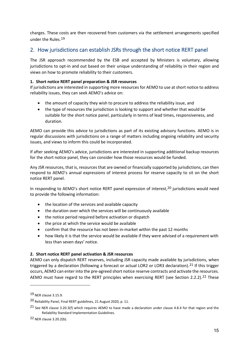charges. These costs are then recovered from customers via the settlement arrangements specified under the Rules.[19](#page-14-1)

### <span id="page-14-0"></span>2. How jurisdictions can establish JSRs through the short notice RERT panel

The JSR approach recommended by the ESB and accepted by Ministers is voluntary, allowing jurisdictions to opt-in and out based on their unique understanding of reliability in their region and views on how to promote reliability to their customers.

### **1. Short notice RERT panel preparation & JSR resources**

If jurisdictions are interested in supporting more resources for AEMO to use at short notice to address reliability issues, they can seek AEMO's advice on:

- the amount of capacity they wish to procure to address the reliability issue, and
- the type of resources the jurisdiction is looking to support and whether that would be suitable for the short notice panel, particularly in terms of lead times, responsiveness, and duration.

AEMO can provide this advice to jurisdictions as part of its existing advisory functions. AEMO is in regular discussions with jurisdictions on a range of matters including ongoing reliability and security issues, and views to inform this could be incorporated.

If after seeking AEMO's advice, jurisdictions are interested in supporting additional backup resources for the short notice panel, they can consider how those resources would be funded.

Any JSR resources, that is, resources that are owned or financially supported by jurisdictions, can then respond to AEMO's annual expressions of interest process for reserve capacity to sit on the short notice RERT panel.

In responding to AEMO's short notice RERT panel expression of interest,<sup>[20](#page-14-2)</sup> jurisdictions would need to provide the following information:

- the location of the services and available capacity
- the duration over which the services will be continuously available
- the notice period required before activation or dispatch
- the price at which the service would be available
- confirm that the resource has not been in-market within the past 12 months
- how likely it is that the service would be available if they were advised of a requirement with less than seven days' notice.

#### **2. Short notice RERT panel activation & JSR resources**

AEMO can only dispatch RERT reserves, including JSR capacity made available by jurisdictions, when triggered by a declaration (following a forecast or actual LOR2 or LOR3 declaration).<sup>[21](#page-14-3)</sup> If this trigger occurs, AEMO can enter into the pre-agreed short notice reserve contracts and activate the resources. AEMO must have regard to the RERT principles when exercising RERT (see Section 2.2.2).<sup>[22](#page-14-4)</sup> These

<span id="page-14-1"></span><sup>19</sup> NER clause 3.15.9.

<span id="page-14-2"></span><sup>20</sup> Reliability Panel, Final RERT guidelines, 21 August 2020, p. 11.

<span id="page-14-3"></span><sup>&</sup>lt;sup>21</sup> See NER clause 3.20.3(f) which requires AEMO to have made a declaration under clause 4.8.4 for that region and the Reliability Standard Implementation Guidelines.

<span id="page-14-4"></span><sup>22</sup> NER clause 3.20.2(b).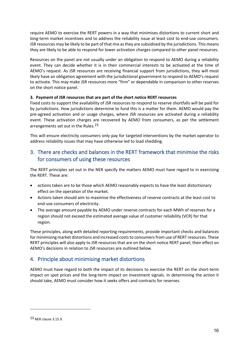require AEMO to exercise the RERT powers in a way that minimises distortions to current short and long-term market incentives and to address the reliability issue at least cost to end-use consumers. JSR resources may be likely to be part of that mix as they are subsidised by the jurisdictions. This means they are likely to be able to respond for lower activation charges compared to other panel resources.

Resources on the panel are not usually under an obligation to respond to AEMO during a reliability event. They can decide whether it is in their commercial interests to be activated at the time of AEMO's request. As JSR resources are receiving financial support from jurisdictions, they will most likely have an obligation agreement with the jurisdictional government to respond to AEMO's request to activate. This may make JSR resources more "firm" or dependable in comparison to other reserves on the short notice panel.

#### **3. Payment of JSR resources that are part of the short notice RERT resources**

Fixed costs to support the availability of JSR resources to respond to reserve shortfalls will be paid for by jurisdictions. How jurisdictions determine to fund this is a matter for them. AEMO would pay the pre-agreed activation and or usage charges, where JSR resources are activated during a reliability event. These activation charges are recovered by AEMO from consumers, as per the settlement arrangements set out in the Rules.<sup>[23](#page-15-2)</sup>

This will ensure electricity consumers only pay for targeted interventions by the market operator to address reliability issues that may have otherwise led to load shedding.

### <span id="page-15-0"></span>3. There are checks and balances in the RERT framework that minimise the risks for consumers of using these resources

The RERT principles set out in the NER specify the matters AEMO must have regard to in exercising the RERT. These are:

- actions taken are to be those which AEMO reasonably expects to have the least distortionary effect on the operation of the market.
- Actions taken should aim to maximise the effectiveness of reserve contracts at the least cost to end-use consumers of electricity.
- The average amount payable by AEMO under reserve contracts for each MWh of reserves for a region should not exceed the estimated average value of customer reliability (VCR) for that region.

These principles, along with detailed reporting requirements, provide important checks and balances for minimising market distortions and increased costs to consumers from use of RERT resources. These RERT principles will also apply to JSR resources that are on the short notice RERT panel; their effect on AEMO's decisions in relation to JSR resources are outlined below.

### <span id="page-15-1"></span>4. Principle about minimising market distortions

AEMO must have regard to both the impact of its decisions to exercise the RERT on the short-term impact on spot prices and the long-term impact on investment signals. In determining the action it should take, AEMO must consider how it seeks offers and contracts for reserves.

<span id="page-15-2"></span><sup>23</sup> NER clause 3.15.9.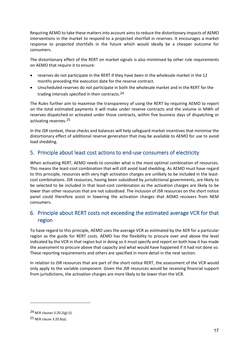Requiring AEMO to take these matters into account aims to reduce the distortionary impacts of AEMO interventions in the market to respond to a projected shortfall in reserves. It encourages a market response to projected shortfalls in the future which would ideally be a cheaper outcome for consumers.

The distortionary effect of the RERT on market signals is also minimised by other rule requirements on AEMO that require it to ensure:

- reserves do not participate in the RERT if they have been in the wholesale market in the 12 months preceding the execution date for the reserve contract.
- Unscheduled reserves do not participate in both the wholesale market and in the RERT for the trading intervals specified in their contracts.[24](#page-16-2)

The Rules further aim to maximise the transparency of using the RERT by requiring AEMO to report on the total estimated payments it will make under reserve contracts and the volume in MWh of reserves dispatched or activated under those contracts, within five business days of dispatching or activating reserves.[25](#page-16-3)

In the JSR context, these checks and balances will help safeguard market incentives that minimise the distortionary effect of additional reserve generation that may be available to AEMO for use to avoid load shedding.

### <span id="page-16-0"></span>5. Principle about least cost actions to end-use consumers of electricity

When activating RERT, AEMO needs to consider what is the most optimal combination of resources. This means the least-cost combination that will still avoid load shedding. As AEMO must have regard to this principle, resources with very high activation charges are unlikely to be included in the leastcost combinations. JSR resources, having been subsidised by jurisdictional governments, are likely to be selected to be included in that least-cost combination as the activation charges are likely to be lower than other resources that are not subsidised. The inclusion of JSR resources on the short notice panel could therefore assist in lowering the activation charges that AEMO recovers from NEM consumers.

# <span id="page-16-1"></span>6. Principle about RERT costs not exceeding the estimated average VCR for that region

To have regard to this principle, AEMO uses the average VCR as estimated by the AER for a particular region as the guide for RERT costs. AEMO has the flexibility to procure over and above the level indicated by the VCR in that region but in doing so it must specify and report on both how it has made the assessment to procure above that capacity and what would have happened if it had not done so. These reporting requirements and others are specified in more detail in the next section.

In relation to JSR resources that are part of the short notice RERT, the assessment of the VCR would only apply to the variable component. Given the JSR resources would be receiving financial support from jurisdictions, the activation charges are more likely to be lower than the VCR.

<span id="page-16-2"></span><sup>24</sup> NER clauses 3.20.2(g)-(i).

<span id="page-16-3"></span><sup>25</sup> NER clause 3.20.6(a).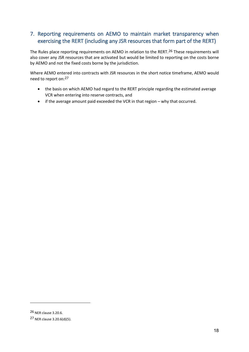# <span id="page-17-0"></span>7. Reporting requirements on AEMO to maintain market transparency when exercising the RERT (including any JSR resources that form part of the RERT)

The Rules place reporting requirements on AEMO in relation to the RERT.<sup>[26](#page-17-1)</sup> These requirements will also cover any JSR resources that are activated but would be limited to reporting on the costs borne by AEMO and not the fixed costs borne by the jurisdiction.

Where AEMO entered into contracts with JSR resources in the short notice timeframe, AEMO would need to report on:[27](#page-17-2)

- the basis on which AEMO had regard to the RERT principle regarding the estimated average VCR when entering into reserve contracts, and
- if the average amount paid exceeded the VCR in that region why that occurred.

<span id="page-17-1"></span><sup>26</sup> NER clause 3.20.6.

<span id="page-17-2"></span><sup>27</sup> NER clause 3.20.6(d)(5).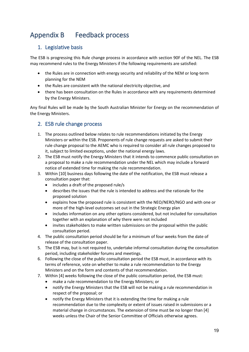# <span id="page-18-0"></span>Appendix B Feedback process

# <span id="page-18-1"></span>1. Legislative basis

The ESB is progressing this Rule change process in accordance with section 90F of the NEL. The ESB may recommend rules to the Energy Ministers if the following requirements are satisfied:

- the Rules are in connection with energy security and reliability of the NEM or long-term planning for the NEM
- the Rules are consistent with the national electricity objective, and
- there has been consultation on the Rules in accordance with any requirements determined by the Energy Ministers.

Any final Rules will be made by the South Australian Minister for Energy on the recommendation of the Energy Ministers.

# <span id="page-18-2"></span>2. ESB rule change process

- 1. The process outlined below relates to rule recommendations initiated by the Energy Ministers or within the ESB. Proponents of rule change requests are asked to submit their rule change proposal to the AEMC who is required to consider all rule changes proposed to it, subject to limited exceptions, under the national energy laws.
- 2. The ESB must notify the Energy Ministers that it intends to commence public consultation on a proposal to make a rule recommendation under the NEL which may include a forward notice of extended time for making the rule recommendation.
- 3. Within [10] business days following the date of the notification, the ESB must release a consultation paper that:
	- includes a draft of the proposed rule/s
	- describes the issues that the rule is intended to address and the rationale for the proposed solution
	- explains how the proposed rule is consistent with the NEO/NERO/NGO and with one or more of the high-level outcomes set out in the Strategic Energy plan
	- includes information on any other options considered, but not included for consultation together with an explanation of why there were not included
	- invites stakeholders to make written submissions on the proposal within the public consultation period.
- 4. The public consultation period should be for a minimum of four weeks from the date of release of the consultation paper.
- 5. The ESB may, but is not required to, undertake informal consultation during the consultation period, including stakeholder forums and meetings.
- 6. Following the close of the public consultation period the ESB must, in accordance with its terms of reference, vote on whether to make a rule recommendation to the Energy Ministers and on the form and contents of that recommendation.
- 7. Within [4] weeks following the close of the public consultation period, the ESB must:
	- make a rule recommendation to the Energy Ministers; or
	- notify the Energy Ministers that the ESB will not be making a rule recommendation in respect of the proposal; or
	- notify the Energy Ministers that it is extending the time for making a rule recommendation due to the complexity or extent of issues raised in submissions or a material change in circumstances. The extension of time must be no longer than [4] weeks unless the Chair of the Senior Committee of Officials otherwise agrees.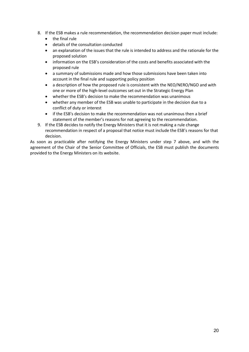- 8. If the ESB makes a rule recommendation, the recommendation decision paper must include:
	- the final rule
	- details of the consultation conducted
	- an explanation of the issues that the rule is intended to address and the rationale for the proposed solution
	- information on the ESB's consideration of the costs and benefits associated with the proposed rule
	- a summary of submissions made and how those submissions have been taken into account in the final rule and supporting policy position
	- a description of how the proposed rule is consistent with the NEO/NERO/NGO and with one or more of the high-level outcomes set out in the Strategic Energy Plan
	- whether the ESB's decision to make the recommendation was unanimous
	- whether any member of the ESB was unable to participate in the decision due to a conflict of duty or interest
	- if the ESB's decision to make the recommendation was not unanimous then a brief statement of the member's reasons for not agreeing to the recommendation.
- 9. If the ESB decides to notify the Energy Ministers that it is not making a rule change recommendation in respect of a proposal that notice must include the ESB's reasons for that decision.

As soon as practicable after notifying the Energy Ministers under step 7 above, and with the agreement of the Chair of the Senior Committee of Officials, the ESB must publish the documents provided to the Energy Ministers on its website.